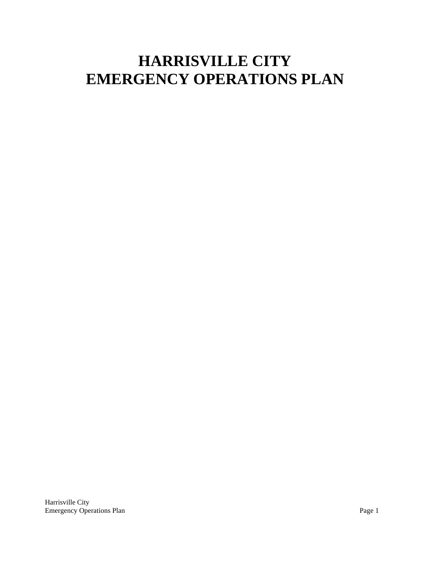# **HARRISVILLE CITY EMERGENCY OPERATIONS PLAN**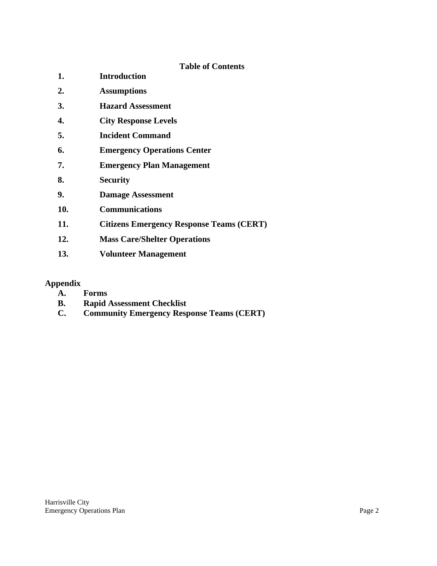**Table of Contents**

| 1.  | <b>Introduction</b>                             |  |
|-----|-------------------------------------------------|--|
| 2.  | <b>Assumptions</b>                              |  |
| 3.  | <b>Hazard Assessment</b>                        |  |
| 4.  | <b>City Response Levels</b>                     |  |
| 5.  | <b>Incident Command</b>                         |  |
| 6.  | <b>Emergency Operations Center</b>              |  |
| 7.  | <b>Emergency Plan Management</b>                |  |
| 8.  | <b>Security</b>                                 |  |
| 9.  | <b>Damage Assessment</b>                        |  |
| 10. | <b>Communications</b>                           |  |
| 11. | <b>Citizens Emergency Response Teams (CERT)</b> |  |
| 12. | <b>Mass Care/Shelter Operations</b>             |  |
| 13. | <b>Volunteer Management</b>                     |  |

# **Appendix**

- **A. Forms**
- **B. Rapid Assessment Checklist**
- **C. Community Emergency Response Teams (CERT)**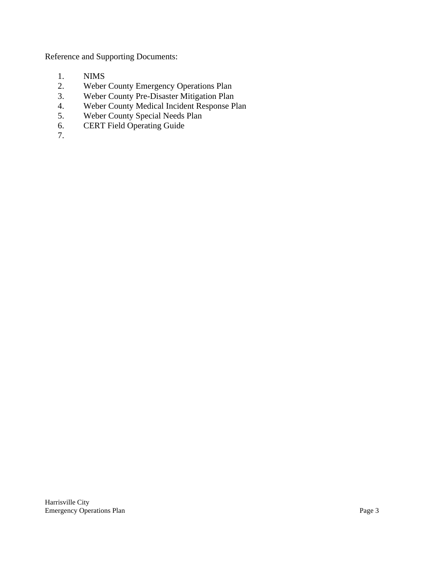Reference and Supporting Documents:

- 1. NIMS
- 2. Weber County Emergency Operations Plan
- 3. Weber County Pre-Disaster Mitigation Plan
- 4. Weber County Medical Incident Response Plan
- 5. Weber County Special Needs Plan
- 6. CERT Field Operating Guide
- 7.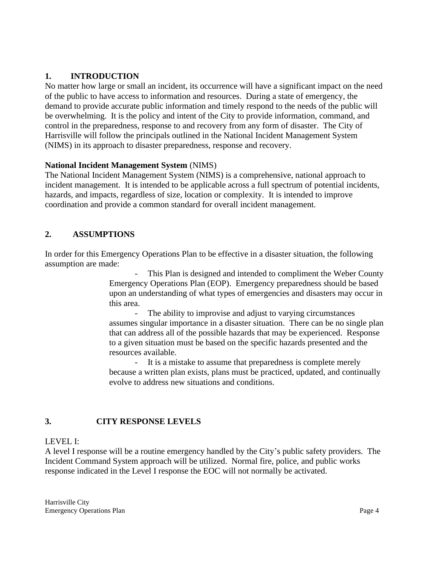## **1. INTRODUCTION**

No matter how large or small an incident, its occurrence will have a significant impact on the need of the public to have access to information and resources. During a state of emergency, the demand to provide accurate public information and timely respond to the needs of the public will be overwhelming. It is the policy and intent of the City to provide information, command, and control in the preparedness, response to and recovery from any form of disaster. The City of Harrisville will follow the principals outlined in the National Incident Management System (NIMS) in its approach to disaster preparedness, response and recovery.

#### **National Incident Management System** (NIMS)

The National Incident Management System (NIMS) is a comprehensive, national approach to incident management. It is intended to be applicable across a full spectrum of potential incidents, hazards, and impacts, regardless of size, location or complexity. It is intended to improve coordination and provide a common standard for overall incident management.

# **2. ASSUMPTIONS**

In order for this Emergency Operations Plan to be effective in a disaster situation, the following assumption are made:

> This Plan is designed and intended to compliment the Weber County Emergency Operations Plan (EOP). Emergency preparedness should be based upon an understanding of what types of emergencies and disasters may occur in this area.

> The ability to improvise and adjust to varying circumstances assumes singular importance in a disaster situation. There can be no single plan that can address all of the possible hazards that may be experienced. Response to a given situation must be based on the specific hazards presented and the resources available.

> It is a mistake to assume that preparedness is complete merely because a written plan exists, plans must be practiced, updated, and continually evolve to address new situations and conditions.

## **3. CITY RESPONSE LEVELS**

#### LEVEL I:

A level I response will be a routine emergency handled by the City's public safety providers. The Incident Command System approach will be utilized. Normal fire, police, and public works response indicated in the Level I response the EOC will not normally be activated.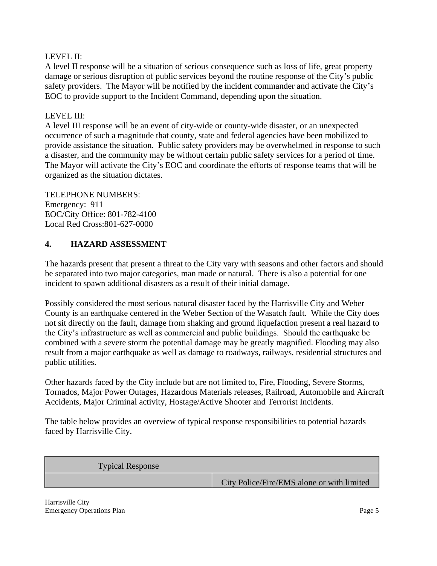## LEVEL II:

A level II response will be a situation of serious consequence such as loss of life, great property damage or serious disruption of public services beyond the routine response of the City's public safety providers. The Mayor will be notified by the incident commander and activate the City's EOC to provide support to the Incident Command, depending upon the situation.

#### LEVEL III:

A level III response will be an event of city-wide or county-wide disaster, or an unexpected occurrence of such a magnitude that county, state and federal agencies have been mobilized to provide assistance the situation. Public safety providers may be overwhelmed in response to such a disaster, and the community may be without certain public safety services for a period of time. The Mayor will activate the City's EOC and coordinate the efforts of response teams that will be organized as the situation dictates.

# TELEPHONE NUMBERS: Emergency: 911 EOC/City Office: 801-782-4100

# Local Red Cross:801-627-0000

## **4. HAZARD ASSESSMENT**

The hazards present that present a threat to the City vary with seasons and other factors and should be separated into two major categories, man made or natural. There is also a potential for one incident to spawn additional disasters as a result of their initial damage.

Possibly considered the most serious natural disaster faced by the Harrisville City and Weber County is an earthquake centered in the Weber Section of the Wasatch fault. While the City does not sit directly on the fault, damage from shaking and ground liquefaction present a real hazard to the City's infrastructure as well as commercial and public buildings. Should the earthquake be combined with a severe storm the potential damage may be greatly magnified. Flooding may also result from a major earthquake as well as damage to roadways, railways, residential structures and public utilities.

Other hazards faced by the City include but are not limited to, Fire, Flooding, Severe Storms, Tornados, Major Power Outages, Hazardous Materials releases, Railroad, Automobile and Aircraft Accidents, Major Criminal activity, Hostage/Active Shooter and Terrorist Incidents.

The table below provides an overview of typical response responsibilities to potential hazards faced by Harrisville City.

| <b>Typical Response</b> |                                            |
|-------------------------|--------------------------------------------|
|                         | City Police/Fire/EMS alone or with limited |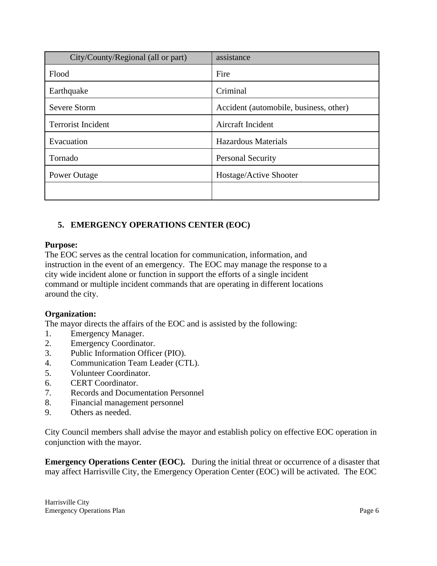| City/County/Regional (all or part) | assistance                             |
|------------------------------------|----------------------------------------|
| Flood                              | Fire                                   |
| Earthquake                         | Criminal                               |
| <b>Severe Storm</b>                | Accident (automobile, business, other) |
| <b>Terrorist Incident</b>          | Aircraft Incident                      |
| Evacuation                         | <b>Hazardous Materials</b>             |
| Tornado                            | <b>Personal Security</b>               |
| Power Outage                       | Hostage/Active Shooter                 |
|                                    |                                        |

# **5. EMERGENCY OPERATIONS CENTER (EOC)**

#### **Purpose:**

The EOC serves as the central location for communication, information, and instruction in the event of an emergency. The EOC may manage the response to a city wide incident alone or function in support the efforts of a single incident command or multiple incident commands that are operating in different locations around the city.

## **Organization:**

The mayor directs the affairs of the EOC and is assisted by the following:

- 1. Emergency Manager.
- 2. Emergency Coordinator.
- 3. Public Information Officer (PIO).
- 4. Communication Team Leader (CTL).
- 5. Volunteer Coordinator.
- 6. CERT Coordinator.
- 7. Records and Documentation Personnel
- 8. Financial management personnel
- 9. Others as needed.

City Council members shall advise the mayor and establish policy on effective EOC operation in conjunction with the mayor.

**Emergency Operations Center (EOC).** During the initial threat or occurrence of a disaster that may affect Harrisville City, the Emergency Operation Center (EOC) will be activated. The EOC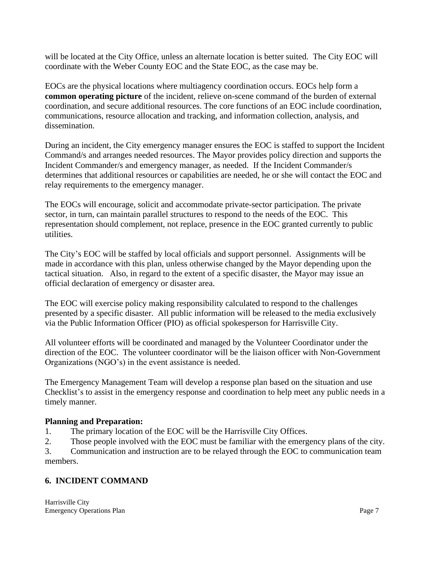will be located at the City Office, unless an alternate location is better suited. The City EOC will coordinate with the Weber County EOC and the State EOC, as the case may be.

EOCs are the physical locations where multiagency coordination occurs. EOCs help form a **common operating picture** of the incident, relieve on-scene command of the burden of external coordination, and secure additional resources. The core functions of an EOC include coordination, communications, resource allocation and tracking, and information collection, analysis, and dissemination.

During an incident, the City emergency manager ensures the EOC is staffed to support the Incident Command/s and arranges needed resources. The Mayor provides policy direction and supports the Incident Commander/s and emergency manager, as needed. If the Incident Commander/s determines that additional resources or capabilities are needed, he or she will contact the EOC and relay requirements to the emergency manager.

The EOCs will encourage, solicit and accommodate private-sector participation. The private sector, in turn, can maintain parallel structures to respond to the needs of the EOC. This representation should complement, not replace, presence in the EOC granted currently to public utilities.

The City's EOC will be staffed by local officials and support personnel. Assignments will be made in accordance with this plan, unless otherwise changed by the Mayor depending upon the tactical situation. Also, in regard to the extent of a specific disaster, the Mayor may issue an official declaration of emergency or disaster area.

The EOC will exercise policy making responsibility calculated to respond to the challenges presented by a specific disaster. All public information will be released to the media exclusively via the Public Information Officer (PIO) as official spokesperson for Harrisville City.

All volunteer efforts will be coordinated and managed by the Volunteer Coordinator under the direction of the EOC. The volunteer coordinator will be the liaison officer with Non-Government Organizations (NGO's) in the event assistance is needed.

The Emergency Management Team will develop a response plan based on the situation and use Checklist's to assist in the emergency response and coordination to help meet any public needs in a timely manner.

## **Planning and Preparation:**

1. The primary location of the EOC will be the Harrisville City Offices.

2. Those people involved with the EOC must be familiar with the emergency plans of the city.

3. Communication and instruction are to be relayed through the EOC to communication team members.

## **6. INCIDENT COMMAND**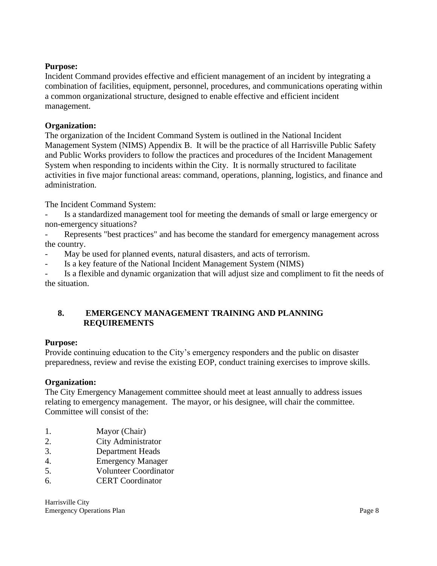#### **Purpose:**

Incident Command provides effective and efficient management of an incident by integrating a combination of facilities, equipment, personnel, procedures, and communications operating within a common organizational structure, designed to enable effective and efficient incident management.

#### **Organization:**

The organization of the Incident Command System is outlined in the National Incident Management System (NIMS) Appendix B. It will be the practice of all Harrisville Public Safety and Public Works providers to follow the practices and procedures of the Incident Management System when responding to incidents within the City. It is normally structured to facilitate activities in five major functional areas: command, operations, planning, logistics, and finance and administration.

The Incident Command System:

- Is a standardized management tool for meeting the demands of small or large emergency or non-emergency situations?

Represents "best practices" and has become the standard for emergency management across the country.

- May be used for planned events, natural disasters, and acts of terrorism.

Is a key feature of the National Incident Management System (NIMS)

- Is a flexible and dynamic organization that will adjust size and compliment to fit the needs of the situation.

## **8. EMERGENCY MANAGEMENT TRAINING AND PLANNING REQUIREMENTS**

#### **Purpose:**

Provide continuing education to the City's emergency responders and the public on disaster preparedness, review and revise the existing EOP, conduct training exercises to improve skills.

#### **Organization:**

The City Emergency Management committee should meet at least annually to address issues relating to emergency management. The mayor, or his designee, will chair the committee. Committee will consist of the:

- 1. Mayor (Chair)
- 2. City Administrator
- 3. Department Heads
- 4. Emergency Manager
- 5. Volunteer Coordinator
- 6. CERT Coordinator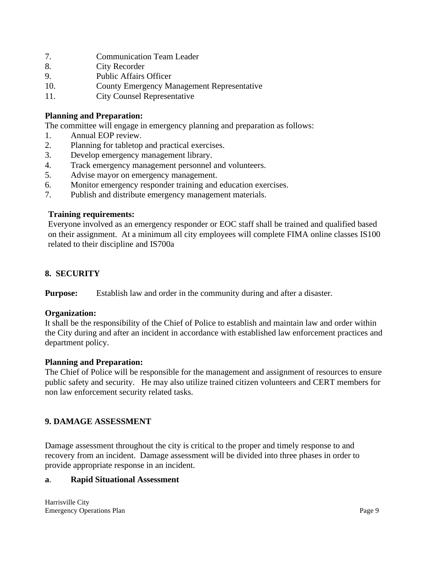- 7. Communication Team Leader
- 8. City Recorder
- 9. Public Affairs Officer
- 10. County Emergency Management Representative
- 11. City Counsel Representative

#### **Planning and Preparation:**

The committee will engage in emergency planning and preparation as follows:

- 1. Annual EOP review.
- 2. Planning for tabletop and practical exercises.
- 3. Develop emergency management library.
- 4. Track emergency management personnel and volunteers.
- 5. Advise mayor on emergency management.
- 6. Monitor emergency responder training and education exercises.
- 7. Publish and distribute emergency management materials.

#### **Training requirements:**

Everyone involved as an emergency responder or EOC staff shall be trained and qualified based on their assignment. At a minimum all city employees will complete FIMA online classes IS100 related to their discipline and IS700a

## **8. SECURITY**

**Purpose:** Establish law and order in the community during and after a disaster.

#### **Organization:**

It shall be the responsibility of the Chief of Police to establish and maintain law and order within the City during and after an incident in accordance with established law enforcement practices and department policy.

#### **Planning and Preparation:**

The Chief of Police will be responsible for the management and assignment of resources to ensure public safety and security. He may also utilize trained citizen volunteers and CERT members for non law enforcement security related tasks.

#### **9. DAMAGE ASSESSMENT**

Damage assessment throughout the city is critical to the proper and timely response to and recovery from an incident. Damage assessment will be divided into three phases in order to provide appropriate response in an incident.

#### **a**. **Rapid Situational Assessment**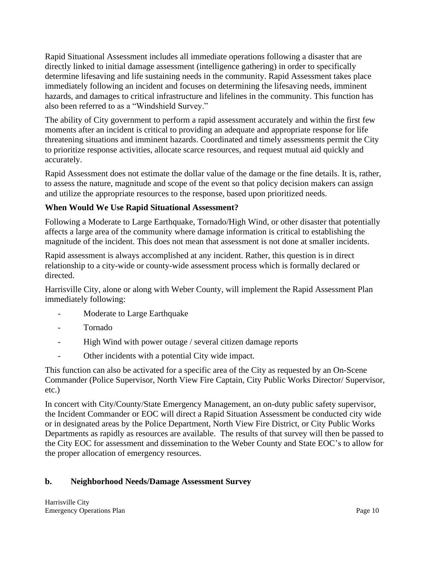Rapid Situational Assessment includes all immediate operations following a disaster that are directly linked to initial damage assessment (intelligence gathering) in order to specifically determine lifesaving and life sustaining needs in the community. Rapid Assessment takes place immediately following an incident and focuses on determining the lifesaving needs, imminent hazards, and damages to critical infrastructure and lifelines in the community. This function has also been referred to as a "Windshield Survey."

The ability of City government to perform a rapid assessment accurately and within the first few moments after an incident is critical to providing an adequate and appropriate response for life threatening situations and imminent hazards. Coordinated and timely assessments permit the City to prioritize response activities, allocate scarce resources, and request mutual aid quickly and accurately.

Rapid Assessment does not estimate the dollar value of the damage or the fine details. It is, rather, to assess the nature, magnitude and scope of the event so that policy decision makers can assign and utilize the appropriate resources to the response, based upon prioritized needs.

# **When Would We Use Rapid Situational Assessment?**

Following a Moderate to Large Earthquake, Tornado/High Wind, or other disaster that potentially affects a large area of the community where damage information is critical to establishing the magnitude of the incident. This does not mean that assessment is not done at smaller incidents.

Rapid assessment is always accomplished at any incident. Rather, this question is in direct relationship to a city-wide or county-wide assessment process which is formally declared or directed.

Harrisville City, alone or along with Weber County, will implement the Rapid Assessment Plan immediately following:

- Moderate to Large Earthquake
- Tornado
- High Wind with power outage / several citizen damage reports
- Other incidents with a potential City wide impact.

This function can also be activated for a specific area of the City as requested by an On-Scene Commander (Police Supervisor, North View Fire Captain, City Public Works Director/ Supervisor, etc.)

In concert with City/County/State Emergency Management, an on-duty public safety supervisor, the Incident Commander or EOC will direct a Rapid Situation Assessment be conducted city wide or in designated areas by the Police Department, North View Fire District, or City Public Works Departments as rapidly as resources are available. The results of that survey will then be passed to the City EOC for assessment and dissemination to the Weber County and State EOC's to allow for the proper allocation of emergency resources.

## **b. Neighborhood Needs/Damage Assessment Survey**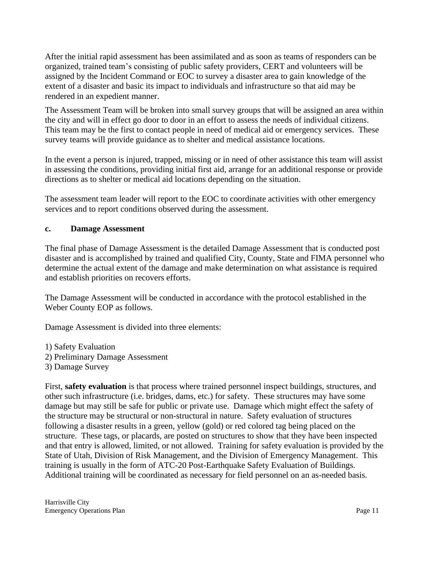After the initial rapid assessment has been assimilated and as soon as teams of responders can be organized, trained team's consisting of public safety providers, CERT and volunteers will be assigned by the Incident Command or EOC to survey a disaster area to gain knowledge of the extent of a disaster and basic its impact to individuals and infrastructure so that aid may be rendered in an expedient manner.

The Assessment Team will be broken into small survey groups that will be assigned an area within the city and will in effect go door to door in an effort to assess the needs of individual citizens. This team may be the first to contact people in need of medical aid or emergency services. These survey teams will provide guidance as to shelter and medical assistance locations.

In the event a person is injured, trapped, missing or in need of other assistance this team will assist in assessing the conditions, providing initial first aid, arrange for an additional response or provide directions as to shelter or medical aid locations depending on the situation.

The assessment team leader will report to the EOC to coordinate activities with other emergency services and to report conditions observed during the assessment.

#### **c. Damage Assessment**

The final phase of Damage Assessment is the detailed Damage Assessment that is conducted post disaster and is accomplished by trained and qualified City, County, State and FIMA personnel who determine the actual extent of the damage and make determination on what assistance is required and establish priorities on recovers efforts.

The Damage Assessment will be conducted in accordance with the protocol established in the Weber County EOP as follows.

Damage Assessment is divided into three elements:

- 1) Safety Evaluation 2) Preliminary Damage Assessment
- 3) Damage Survey

First, **safety evaluation** is that process where trained personnel inspect buildings, structures, and other such infrastructure (i.e. bridges, dams, etc.) for safety. These structures may have some damage but may still be safe for public or private use. Damage which might effect the safety of the structure may be structural or non-structural in nature. Safety evaluation of structures following a disaster results in a green, yellow (gold) or red colored tag being placed on the structure. These tags, or placards, are posted on structures to show that they have been inspected and that entry is allowed, limited, or not allowed. Training for safety evaluation is provided by the State of Utah, Division of Risk Management, and the Division of Emergency Management. This training is usually in the form of ATC-20 Post-Earthquake Safety Evaluation of Buildings. Additional training will be coordinated as necessary for field personnel on an as-needed basis.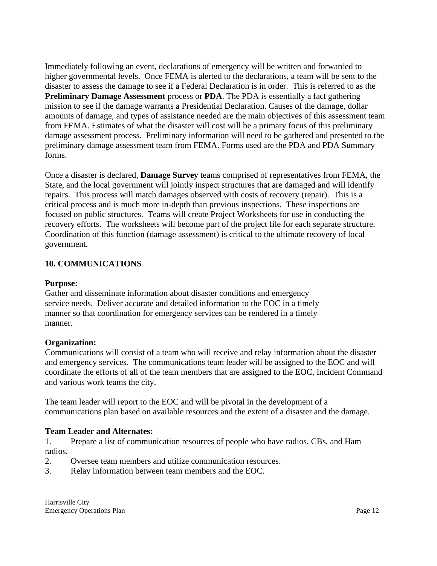Immediately following an event, declarations of emergency will be written and forwarded to higher governmental levels. Once FEMA is alerted to the declarations, a team will be sent to the disaster to assess the damage to see if a Federal Declaration is in order. This is referred to as the **Preliminary Damage Assessment** process or **PDA**. The PDA is essentially a fact gathering mission to see if the damage warrants a Presidential Declaration. Causes of the damage, dollar amounts of damage, and types of assistance needed are the main objectives of this assessment team from FEMA. Estimates of what the disaster will cost will be a primary focus of this preliminary damage assessment process. Preliminary information will need to be gathered and presented to the preliminary damage assessment team from FEMA. Forms used are the PDA and PDA Summary forms.

Once a disaster is declared, **Damage Survey** teams comprised of representatives from FEMA, the State, and the local government will jointly inspect structures that are damaged and will identify repairs. This process will match damages observed with costs of recovery (repair). This is a critical process and is much more in-depth than previous inspections. These inspections are focused on public structures. Teams will create Project Worksheets for use in conducting the recovery efforts. The worksheets will become part of the project file for each separate structure. Coordination of this function (damage assessment) is critical to the ultimate recovery of local government.

# **10. COMMUNICATIONS**

#### **Purpose:**

Gather and disseminate information about disaster conditions and emergency service needs. Deliver accurate and detailed information to the EOC in a timely manner so that coordination for emergency services can be rendered in a timely manner.

## **Organization:**

Communications will consist of a team who will receive and relay information about the disaster and emergency services. The communications team leader will be assigned to the EOC and will coordinate the efforts of all of the team members that are assigned to the EOC, Incident Command and various work teams the city.

The team leader will report to the EOC and will be pivotal in the development of a communications plan based on available resources and the extent of a disaster and the damage.

## **Team Leader and Alternates:**

1. Prepare a list of communication resources of people who have radios, CBs, and Ham radios.

- 2. Oversee team members and utilize communication resources.
- 3. Relay information between team members and the EOC.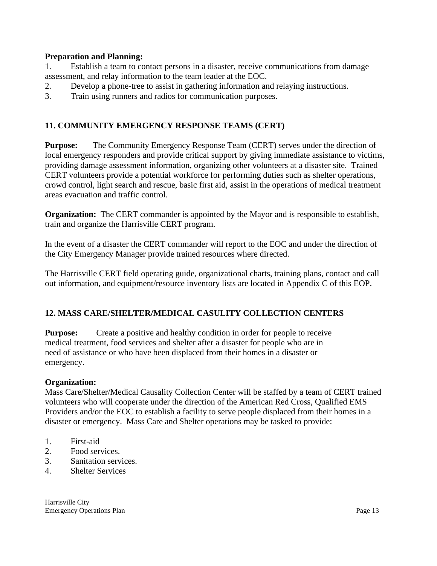#### **Preparation and Planning:**

1. Establish a team to contact persons in a disaster, receive communications from damage assessment, and relay information to the team leader at the EOC.

- 2. Develop a phone-tree to assist in gathering information and relaying instructions.
- 3. Train using runners and radios for communication purposes.

# **11. COMMUNITY EMERGENCY RESPONSE TEAMS (CERT)**

**Purpose:** The Community Emergency Response Team (CERT) serves under the direction of local emergency responders and provide critical support by giving immediate assistance to victims, providing damage assessment information, organizing other volunteers at a disaster site. Trained CERT volunteers provide a potential workforce for performing duties such as shelter operations, crowd control, light search and rescue, basic first aid, assist in the operations of medical treatment areas evacuation and traffic control.

**Organization:** The CERT commander is appointed by the Mayor and is responsible to establish, train and organize the Harrisville CERT program.

In the event of a disaster the CERT commander will report to the EOC and under the direction of the City Emergency Manager provide trained resources where directed.

The Harrisville CERT field operating guide, organizational charts, training plans, contact and call out information, and equipment/resource inventory lists are located in Appendix C of this EOP.

## **12. MASS CARE/SHELTER/MEDICAL CASULITY COLLECTION CENTERS**

**Purpose:** Create a positive and healthy condition in order for people to receive medical treatment, food services and shelter after a disaster for people who are in need of assistance or who have been displaced from their homes in a disaster or emergency.

#### **Organization:**

Mass Care/Shelter/Medical Causality Collection Center will be staffed by a team of CERT trained volunteers who will cooperate under the direction of the American Red Cross, Qualified EMS Providers and/or the EOC to establish a facility to serve people displaced from their homes in a disaster or emergency. Mass Care and Shelter operations may be tasked to provide:

- 1. First-aid
- 2. Food services.
- 3. Sanitation services.
- 4. Shelter Services